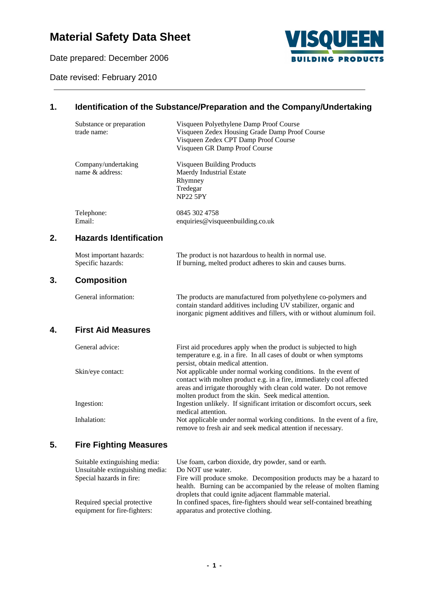# **Material Safety Data Sheet**

Date prepared: December 2006

Date revised: February 2010



### **1. Identification of the Substance/Preparation and the Company/Undertaking**

|    | Substance or preparation<br>trade name:      | Visqueen Polyethylene Damp Proof Course<br>Visqueen Zedex Housing Grade Damp Proof Course<br>Visqueen Zedex CPT Damp Proof Course<br>Visqueen GR Damp Proof Course                                             |  |  |
|----|----------------------------------------------|----------------------------------------------------------------------------------------------------------------------------------------------------------------------------------------------------------------|--|--|
|    | Company/undertaking<br>name & address:       | Visqueen Building Products<br>Maerdy Industrial Estate<br>Rhymney<br>Tredegar<br><b>NP22 5PY</b>                                                                                                               |  |  |
|    | Telephone:<br>Email:                         | 0845 302 4758<br>enquiries@visqueenbuilding.co.uk                                                                                                                                                              |  |  |
| 2. | <b>Hazards Identification</b>                |                                                                                                                                                                                                                |  |  |
|    | Most important hazards:<br>Specific hazards: | The product is not hazardous to health in normal use.<br>If burning, melted product adheres to skin and causes burns.                                                                                          |  |  |
| 3. | <b>Composition</b>                           |                                                                                                                                                                                                                |  |  |
|    | General information:                         | The products are manufactured from polyethylene co-polymers and<br>contain standard additives including UV stabilizer, organic and<br>inorganic pigment additives and fillers, with or without aluminum foil.  |  |  |
| 4. | <b>First Aid Measures</b>                    |                                                                                                                                                                                                                |  |  |
|    | General advice:                              | First aid procedures apply when the product is subjected to high<br>temperature e.g. in a fire. In all cases of doubt or when symptoms<br>persist, obtain medical attention.                                   |  |  |
|    | Skin/eye contact:                            | Not applicable under normal working conditions. In the event of<br>contact with molten product e.g. in a fire, immediately cool affected<br>areas and irrigate thoroughly with clean cold water. Do not remove |  |  |
|    | Ingestion:                                   | molten product from the skin. Seek medical attention.<br>Ingestion unlikely. If significant irritation or discomfort occurs, seek<br>medical attention.                                                        |  |  |
|    | Inhalation:                                  | Not applicable under normal working conditions. In the event of a fire,<br>remove to fresh air and seek medical attention if necessary.                                                                        |  |  |
|    |                                              |                                                                                                                                                                                                                |  |  |

### **5. Fire Fighting Measures**

**3. Composition**

| Suitable extinguishing media:   | Use foam, carbon dioxide, dry powder, sand or earth.                   |
|---------------------------------|------------------------------------------------------------------------|
| Unsuitable extinguishing media: | Do NOT use water.                                                      |
| Special hazards in fire:        | Fire will produce smoke. Decomposition products may be a hazard to     |
|                                 | health. Burning can be accompanied by the release of molten flaming    |
|                                 | droplets that could ignite adjacent flammable material.                |
| Required special protective     | In confined spaces, fire-fighters should wear self-contained breathing |
| equipment for fire-fighters:    | apparatus and protective clothing.                                     |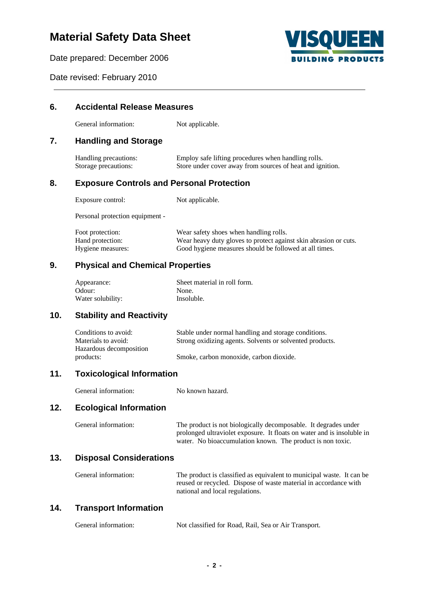## **Material Safety Data Sheet**

**6. Accidental Release Measures**

Date prepared: December 2006



Date revised: February 2010

## General information: Not applicable. **7. Handling and Storage** Handling precautions: Employ safe lifting procedures when handling rolls.<br>Storage precautions: Store under cover away from sources of heat and ign Store under cover away from sources of heat and ignition. **8. Exposure Controls and Personal Protection** Exposure control: Not applicable. Personal protection equipment - Foot protection: Wear safety shoes when handling rolls. Hand protection: Wear heavy duty gloves to protect against skin abrasion or cuts. Hygiene measures: Good hygiene measures should be followed at all times. **9. Physical and Chemical Properties** Appearance: Sheet material in roll form. Odour: None. Water solubility: Insoluble. **10. Stability and Reactivity** Conditions to avoid: Stable under normal handling and storage conditions. Materials to avoid: Strong oxidizing agents. Solvents or solvented products. Hazardous decomposition products: Smoke, carbon monoxide, carbon dioxide. **11. Toxicological Information** General information: No known hazard. **12. Ecological Information** General information: The product is not biologically decomposable. It degrades under prolonged ultraviolet exposure. It floats on water and is insoluble in water. No bioaccumulation known. The product is non toxic. **13. Disposal Considerations** General information: The product is classified as equivalent to municipal waste. It can be reused or recycled. Dispose of waste material in accordance with national and local regulations.

#### **14. Transport Information**

| General information: | Not classified for Road, Rail, Sea or Air Transport. |  |
|----------------------|------------------------------------------------------|--|
|                      |                                                      |  |